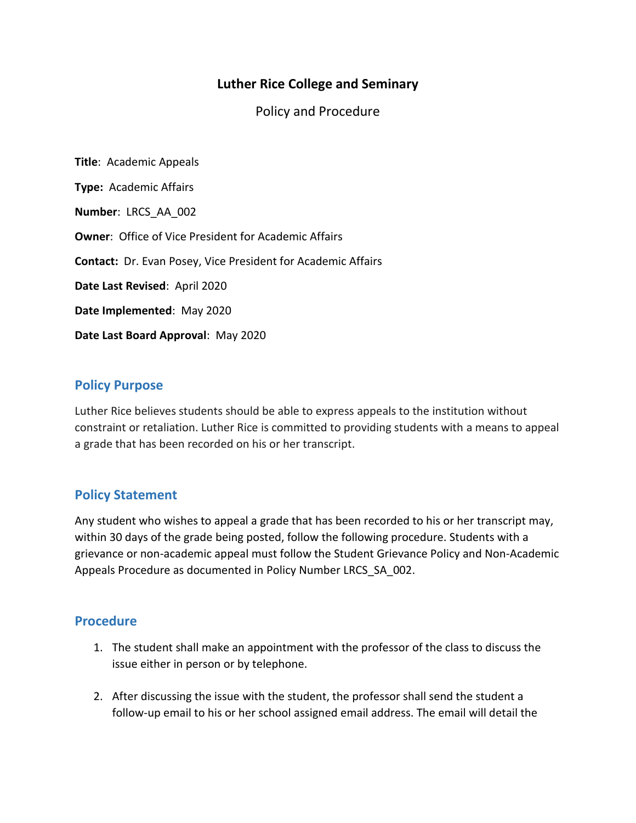# **Luther Rice College and Seminary**

Policy and Procedure

**Title**: Academic Appeals **Type:** Academic Affairs **Number**: LRCS\_AA\_002 **Owner**: Office of Vice President for Academic Affairs **Contact:** Dr. Evan Posey, Vice President for Academic Affairs **Date Last Revised**: April 2020 **Date Implemented**: May 2020 **Date Last Board Approval**: May 2020

## **Policy Purpose**

Luther Rice believes students should be able to express appeals to the institution without constraint or retaliation. Luther Rice is committed to providing students with a means to appeal a grade that has been recorded on his or her transcript.

## **Policy Statement**

Any student who wishes to appeal a grade that has been recorded to his or her transcript may, within 30 days of the grade being posted, follow the following procedure. Students with a grievance or non-academic appeal must follow the Student Grievance Policy and Non-Academic Appeals Procedure as documented in Policy Number LRCS\_SA\_002.

#### **Procedure**

- 1. The student shall make an appointment with the professor of the class to discuss the issue either in person or by telephone.
- 2. After discussing the issue with the student, the professor shall send the student a follow-up email to his or her school assigned email address. The email will detail the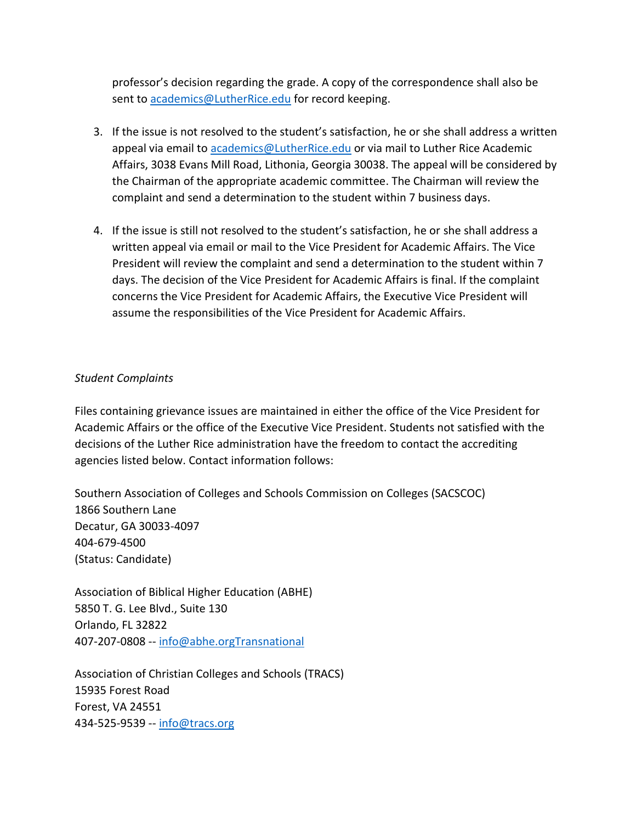professor's decision regarding the grade. A copy of the correspondence shall also be sent to [academics@LutherRice.edu](mailto:academics@LutherRice.edu) for record keeping.

- 3. If the issue is not resolved to the student's satisfaction, he or she shall address a written appeal via email to [academics@LutherRice.edu](mailto:academics@LutherRice.edu) or via mail to Luther Rice Academic Affairs, 3038 Evans Mill Road, Lithonia, Georgia 30038. The appeal will be considered by the Chairman of the appropriate academic committee. The Chairman will review the complaint and send a determination to the student within 7 business days.
- 4. If the issue is still not resolved to the student's satisfaction, he or she shall address a written appeal via email or mail to the Vice President for Academic Affairs. The Vice President will review the complaint and send a determination to the student within 7 days. The decision of the Vice President for Academic Affairs is final. If the complaint concerns the Vice President for Academic Affairs, the Executive Vice President will assume the responsibilities of the Vice President for Academic Affairs.

#### *Student Complaints*

Files containing grievance issues are maintained in either the office of the Vice President for Academic Affairs or the office of the Executive Vice President. Students not satisfied with the decisions of the Luther Rice administration have the freedom to contact the accrediting agencies listed below. Contact information follows:

Southern Association of Colleges and Schools Commission on Colleges (SACSCOC) 1866 Southern Lane Decatur, GA 30033-4097 404-679-4500 (Status: Candidate)

Association of Biblical Higher Education (ABHE) 5850 T. G. Lee Blvd., Suite 130 Orlando, FL 32822 407-207-0808 -- [info@abhe.orgTransnational](mailto:info@abhe.orgTransnational)

Association of Christian Colleges and Schools (TRACS) 15935 Forest Road Forest, VA 24551 434-525-9539 -- [info@tracs.org](mailto:info@tracs.org)